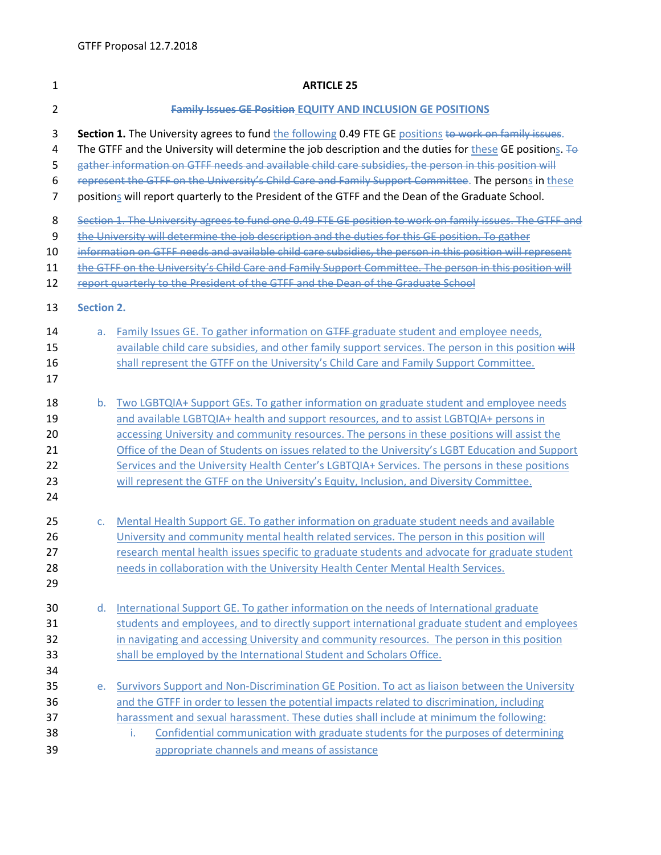| $\mathbf{1}$                           | <b>ARTICLE 25</b>                                                                                                                                                                                                                                                                                                                                                                                                                                                                                                                        |                                                                                                                                                                                                                                                                                                                                                                                                                                                                                                                                                                                 |  |  |  |
|----------------------------------------|------------------------------------------------------------------------------------------------------------------------------------------------------------------------------------------------------------------------------------------------------------------------------------------------------------------------------------------------------------------------------------------------------------------------------------------------------------------------------------------------------------------------------------------|---------------------------------------------------------------------------------------------------------------------------------------------------------------------------------------------------------------------------------------------------------------------------------------------------------------------------------------------------------------------------------------------------------------------------------------------------------------------------------------------------------------------------------------------------------------------------------|--|--|--|
| $\overline{2}$                         | <b>Family Issues GE Position EQUITY AND INCLUSION GE POSITIONS</b>                                                                                                                                                                                                                                                                                                                                                                                                                                                                       |                                                                                                                                                                                                                                                                                                                                                                                                                                                                                                                                                                                 |  |  |  |
| 3<br>4<br>5<br>6<br>$\overline{7}$     | Section 1. The University agrees to fund the following 0.49 FTE GE positions to work on family issues.<br>The GTFF and the University will determine the job description and the duties for these GE positions. To<br>gather information on GTFF needs and available child care subsidies, the person in this position will<br>represent the GTFF on the University's Child Care and Family Support Committee. The persons in these<br>positions will report quarterly to the President of the GTFF and the Dean of the Graduate School. |                                                                                                                                                                                                                                                                                                                                                                                                                                                                                                                                                                                 |  |  |  |
| 8<br>9<br>10<br>11<br>12               | Section 1. The University agrees to fund one 0.49 FTE GE position to work on family issues. The GTFF and<br>the University will determine the job description and the duties for this GE position. To gather<br>information on GTFF needs and available child care subsidies, the person in this position will represent<br>the GTFF on the University's Child Care and Family Support Committee. The person in this position will                                                                                                       |                                                                                                                                                                                                                                                                                                                                                                                                                                                                                                                                                                                 |  |  |  |
| 13                                     | report quarterly to the President of the GTFF and the Dean of the Graduate School<br><b>Section 2.</b>                                                                                                                                                                                                                                                                                                                                                                                                                                   |                                                                                                                                                                                                                                                                                                                                                                                                                                                                                                                                                                                 |  |  |  |
| 14<br>15<br>16<br>17                   | a.                                                                                                                                                                                                                                                                                                                                                                                                                                                                                                                                       | Family Issues GE. To gather information on GTFF-graduate student and employee needs,<br>available child care subsidies, and other family support services. The person in this position will<br>shall represent the GTFF on the University's Child Care and Family Support Committee.                                                                                                                                                                                                                                                                                            |  |  |  |
| 18<br>19<br>20<br>21<br>22<br>23<br>24 | b.                                                                                                                                                                                                                                                                                                                                                                                                                                                                                                                                       | Two LGBTQIA+ Support GEs. To gather information on graduate student and employee needs<br>and available LGBTQIA+ health and support resources, and to assist LGBTQIA+ persons in<br>accessing University and community resources. The persons in these positions will assist the<br>Office of the Dean of Students on issues related to the University's LGBT Education and Support<br>Services and the University Health Center's LGBTQIA+ Services. The persons in these positions<br>will represent the GTFF on the University's Equity, Inclusion, and Diversity Committee. |  |  |  |
| 25<br>26<br>27<br>28<br>29             | c.                                                                                                                                                                                                                                                                                                                                                                                                                                                                                                                                       | Mental Health Support GE. To gather information on graduate student needs and available<br>University and community mental health related services. The person in this position will<br>research mental health issues specific to graduate students and advocate for graduate student<br>needs in collaboration with the University Health Center Mental Health Services.                                                                                                                                                                                                       |  |  |  |
| 30<br>31<br>32<br>33<br>34             | d.                                                                                                                                                                                                                                                                                                                                                                                                                                                                                                                                       | International Support GE. To gather information on the needs of International graduate<br>students and employees, and to directly support international graduate student and employees<br>in navigating and accessing University and community resources. The person in this position<br>shall be employed by the International Student and Scholars Office.                                                                                                                                                                                                                    |  |  |  |
| 35<br>36<br>37<br>38<br>39             | e.                                                                                                                                                                                                                                                                                                                                                                                                                                                                                                                                       | Survivors Support and Non-Discrimination GE Position. To act as liaison between the University<br>and the GTFF in order to lessen the potential impacts related to discrimination, including<br>harassment and sexual harassment. These duties shall include at minimum the following:<br>Confidential communication with graduate students for the purposes of determining<br>i.<br>appropriate channels and means of assistance                                                                                                                                               |  |  |  |